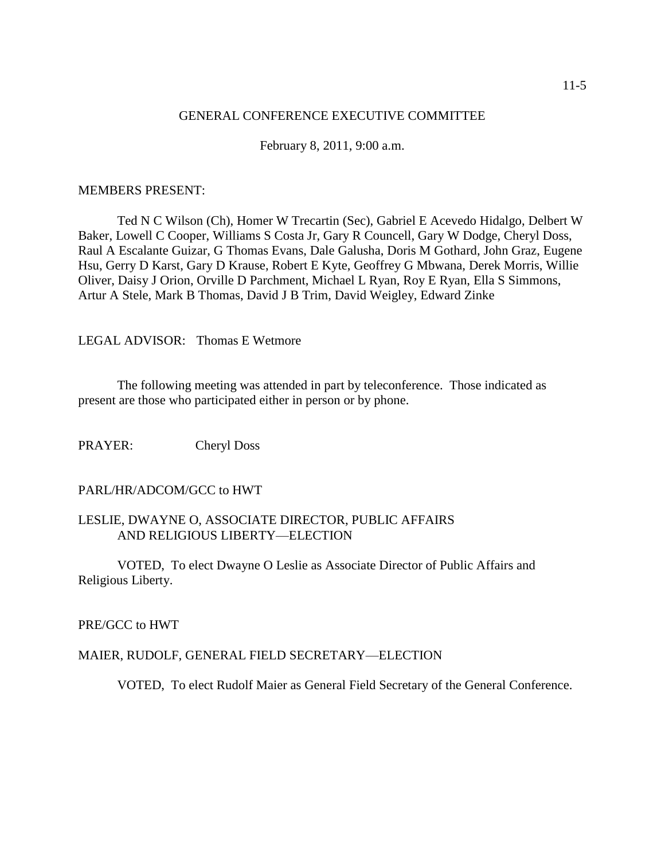#### GENERAL CONFERENCE EXECUTIVE COMMITTEE

February 8, 2011, 9:00 a.m.

#### MEMBERS PRESENT:

Ted N C Wilson (Ch), Homer W Trecartin (Sec), Gabriel E Acevedo Hidalgo, Delbert W Baker, Lowell C Cooper, Williams S Costa Jr, Gary R Councell, Gary W Dodge, Cheryl Doss, Raul A Escalante Guizar, G Thomas Evans, Dale Galusha, Doris M Gothard, John Graz, Eugene Hsu, Gerry D Karst, Gary D Krause, Robert E Kyte, Geoffrey G Mbwana, Derek Morris, Willie Oliver, Daisy J Orion, Orville D Parchment, Michael L Ryan, Roy E Ryan, Ella S Simmons, Artur A Stele, Mark B Thomas, David J B Trim, David Weigley, Edward Zinke

LEGAL ADVISOR: Thomas E Wetmore

The following meeting was attended in part by teleconference. Those indicated as present are those who participated either in person or by phone.

PRAYER: Cheryl Doss

### PARL/HR/ADCOM/GCC to HWT

### LESLIE, DWAYNE O, ASSOCIATE DIRECTOR, PUBLIC AFFAIRS AND RELIGIOUS LIBERTY—ELECTION

VOTED, To elect Dwayne O Leslie as Associate Director of Public Affairs and Religious Liberty.

PRE/GCC to HWT

#### MAIER, RUDOLF, GENERAL FIELD SECRETARY—ELECTION

VOTED, To elect Rudolf Maier as General Field Secretary of the General Conference.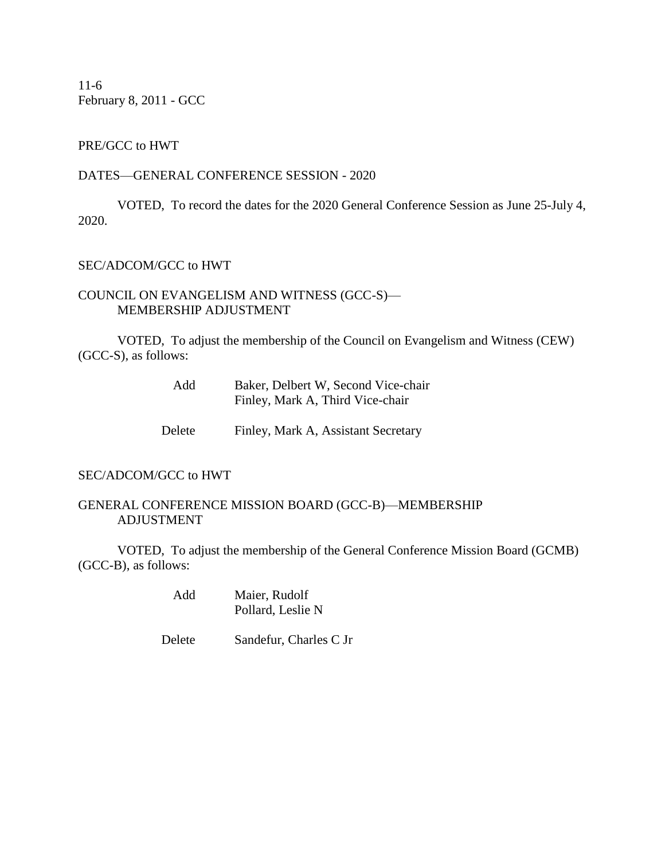11-6 February 8, 2011 - GCC

# PRE/GCC to HWT

#### DATES—GENERAL CONFERENCE SESSION - 2020

VOTED, To record the dates for the 2020 General Conference Session as June 25-July 4, 2020.

### SEC/ADCOM/GCC to HWT

# COUNCIL ON EVANGELISM AND WITNESS (GCC-S)— MEMBERSHIP ADJUSTMENT

VOTED, To adjust the membership of the Council on Evangelism and Witness (CEW) (GCC-S), as follows:

| Add    | Baker, Delbert W, Second Vice-chair<br>Finley, Mark A, Third Vice-chair |
|--------|-------------------------------------------------------------------------|
| Delete | Finley, Mark A, Assistant Secretary                                     |

### SEC/ADCOM/GCC to HWT

#### GENERAL CONFERENCE MISSION BOARD (GCC-B)—MEMBERSHIP ADJUSTMENT

VOTED, To adjust the membership of the General Conference Mission Board (GCMB) (GCC-B), as follows:

> Add Maier, Rudolf Pollard, Leslie N

Delete Sandefur, Charles C Jr